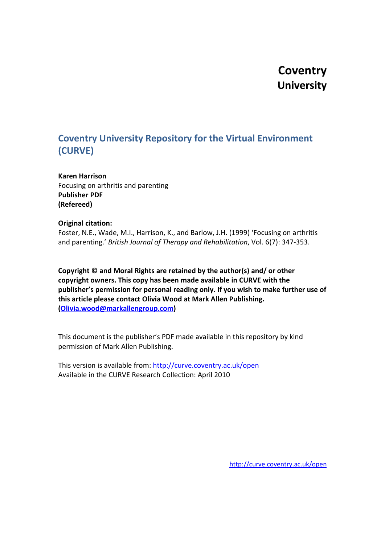# **Coventry University**

# **Coventry University Repository for the Virtual Environment (CURVE)**

**Karen Harrison** Focusing on arthritis and parenting **Publisher PDF (Refereed)**

# **Original citation:**

Foster, N.E., Wade, M.I., Harrison, K., and Barlow, J.H. (1999) 'Focusing on arthritis and parenting.' *British Journal of Therapy and Rehabilitation*, Vol. 6(7): 347-353.

**Copyright © and Moral Rights are retained by the author(s) and/ or other copyright owners. This copy has been made available in CURVE with the publisher's permission for personal reading only. If you wish to make further use of this article please contact Olivia Wood at Mark Allen Publishing. [\(Olivia.wood@markallengroup.com\)](mailto:Olivia.wood@markallengroup.com)** 

This document is the publisher's PDF made available in this repository by kind permission of Mark Allen Publishing.

This version is available from:<http://curve.coventry.ac.uk/open> Available in the CURVE Research Collection: April 2010

<http://curve.coventry.ac.uk/open>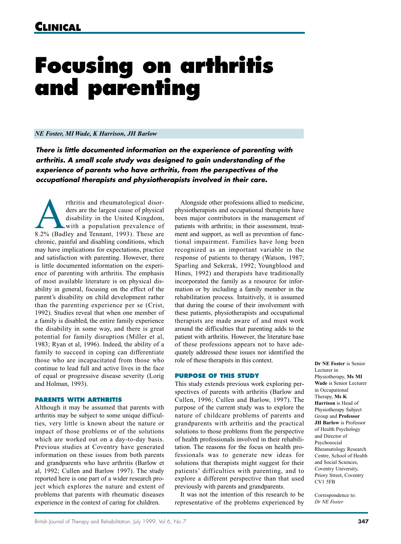# **Focusing on arthritis and parenting**

## *NE Foster, MI Wade, K Harrison, JH Barlow*

*There is little documented information on the experience of parenting with arthritis. A small scale study was designed to gain understanding of the experience of parents who have arthritis, from the perspectives of the occupational therapists and physiotherapists involved in their care.* 

The results and rheumatological disor-<br>
disability in the United Kingdom,<br>
with a population prevalence of<br>
8.2% (Badley and Tennant, 1993). These are ders are the largest cause of physical disability in the United Kingdom, with a population prevalence of chronic, painful and disabling conditions, which may have implications for expectations, practice and satisfaction with parenting. However, there is little documented information on the experience of parenting with arthritis. The emphasis of most available literature is on physical disability in general, focusing on the effect of the parent's disability on child development rather than the parenting experience per se (Crist, 1992). Studies reveal that when one member of a family is disabled, the entire family experience the disability in some way, and there is great potential for family disruption (Miller et al, 1983; Ryan et al, 1996). Indeed, the ability of a family to succeed in coping can differentiate those who are incapacitated from those who continue to lead full and active lives in the face of equal or progressive disease severity (Lorig and Holman, 1993).

## **PARENTS WITH ARTHRITIS**

Although it may be assumed that parents with arthritis may be subject to some unique difficulties, very little is known about the nature or impact of those problems or of the solutions which are worked out on a day-to-day basis. Previous studies at Coventry have generated information on these issues from both parents and grandparents who have arthritis (Barlow et al, 1992; Cullen and Barlow 1997). The study reported here is one part of a wider research project which explores the nature and extent of problems that parents with rheumatic diseases experience in the context of caring for children.

Alongside other professions allied to medicine, physiotherapists and occupational therapists have been major contributors in the management of patients with arthritis; in their assessment, treatment and support, as well as prevention of functional impairment. Families have long been recognized as an important variable in the response of patients to therapy (Watson, 1987; Sparling and Sekerak, 1992; Youngblood and Hines, 1992) and therapists have traditionally incorporated the family as a resource for information or by including a family member in the rehabilitation process. Intuitively, it is assumed that during the course of their involvement with these patients, physiotherapists and occupational therapists are made aware of and must work around the difficulties that parenting adds to the patient with arthritis. However, the literature base of these professions appears not to have adequately addressed these issues nor identified the role of these therapists in this context.

## **PURPOSE OF THIS STUDY**

This study extends previous work exploring perspectives of parents with arthritis (Barlow and Cullen, 1996; Cullen and Barlow, 1997). The purpose of the current study was to explore the nature of childcare problems of parents and grandparents with arthritis and the practical solutions to those problems from the perspective of health professionals involved in their rehabilitation. The reasons for the focus on health professionals was to generate new ideas for solutions that therapists might suggest for their patients' difficulties with parenting, and to explore a different perspective than that used previously with parents and grandparents.

It was not the intention of this research to be representative of the problems experienced by **Dr NE Foster** is Senior Lecturer in Physiotherapy, **Ms MI Wade** is Senior Lecturer in Occupational Therapy, **Ms K Harrison** is Head of Physiotherapy Subject Group and **Professor JH Barlow** is Professor of Health Psychology and Director of Psychosocial Rheumatology Research Centre, School of Health and Social Sciences, Coventry University, Priory Street, Coventry CV1 5FB

Correspondence to: *Dr NE Foster*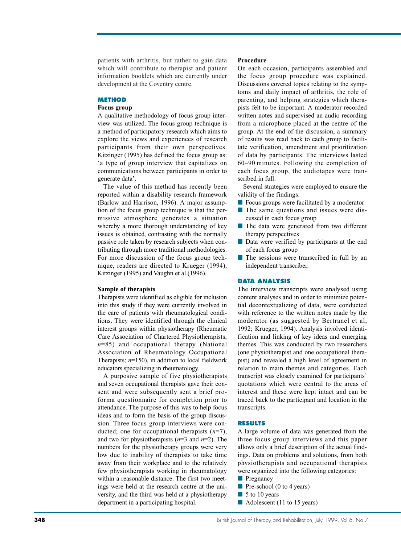patients with arthritis, but rather to gain data which will contribute to therapist and patient information booklets which are currently under development at the Coventry centre.

# **METHOD**

#### **Focus group**

A qualitative methodology of focus group interview was utilized. The focus group technique is a method of participatory research which aims to explore the views and experiences of research participants from their own perspectives. Kitzinger (1995) has defined the focus group as: 'a type of group interview that capitalizes on communications between participants in order to generate data'.

The value of this method has recently been reported within a disability research framework (Barlow and Harrison, 1996). A major assumption of the focus group technique is that the permissive atmosphere generates a situation whereby a more thorough understanding of key issues is obtained, contrasting with the normally passive role taken by research subjects when contributing through more traditional methodologies. For more discussion of the focus group technique, readers are directed to Krueger (1994), Kitzinger (1995) and Vaughn et al (1996).

#### **Sample of therapists**

Therapists were identified as eligible for inclusion into this study if they were currently involved in the care of patients with rheumatological conditions. They were identified through the clinical interest groups within physiotherapy (Rheumatic Care Association of Chartered Physiotherapists; *n*=85) and occupational therapy (National Association of Rheumatology Occupational Therapists;  $n=150$ ), in addition to local fieldwork educators specializing in rheumatology.

A purposive sample of five physiotherapists and seven occupational therapists gave their consent and were subsequently sent a brief proforma questionnaire for completion prior to attendance. The purpose of this was to help focus ideas and to form the basis of the group discussion. Three focus group interviews were conducted; one for occupational therapists (*n*=7), and two for physiotherapists (*n*=3 and *n*=2). The numbers for the physiotherapy groups were very low due to inability of therapists to take time away from their workplace and to the relatively few physiotherapists working in rheumatology within a reasonable distance. The first two meetings were held at the research centre at the university, and the third was held at a physiotherapy department in a participating hospital.

## **Procedure**

On each occasion, participants assembled and the focus group procedure was explained. Discussions covered topics relating to the symptoms and daily impact of arthritis, the role of parenting, and helping strategies which therapists felt to be important. A moderator recorded written notes and supervised an audio recording from a microphone placed at the centre of the group. At the end of the discussion, a summary of results was read back to each group to facilitate verification, amendment and prioritization of data by participants. The interviews lasted 60–90 minutes. Following the completion of each focus group, the audiotapes were transcribed in full.

Several strategies were employed to ensure the validity of the findings:

- Focus groups were facilitated by a moderator
- The same questions and issues were discussed in each focus group
- The data were generated from two different therapy perspectives
- Data were verified by participants at the end of each focus group
- The sessions were transcribed in full by an independent transcriber.

#### **DATA ANALYSIS**

The interview transcripts were analysed using content analyses and in order to minimize potential decontextualizing of data, were conducted with reference to the written notes made by the moderator (as suggested by Bertranel et al, 1992; Krueger, 1994). Analysis involved identification and linking of key ideas and emerging themes. This was conducted by two researchers (one physiotherapist and one occupational therapist) and revealed a high level of agreement in relation to main themes and categories. Each transcript was closely examined for participants' quotations which were central to the areas of interest and these were kept intact and can be traced back to the participant and location in the transcripts.

# **RESULTS**

A large volume of data was generated from the three focus group interviews and this paper allows only a brief description of the actual findings. Data on problems and solutions, from both physiotherapists and occupational therapists were organized into the following categories:

- Pregnancy
- Pre-school (0 to 4 years)
- 5 to 10 years
- Adolescent (11 to 15 years)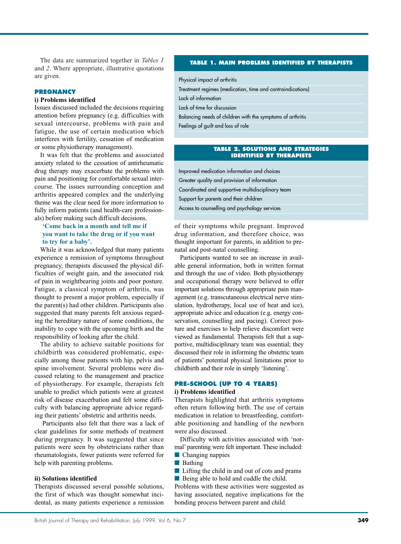The data are summarized together in *Tables 1* and *2*. Where appropriate, illustrative quotations are given.

#### **PREGNANCY**

# **i) Problems identified**

Issues discussed included the decisions requiring attention before pregnancy (e.g. difficulties with sexual intercourse, problems with pain and fatigue, the use of certain medication which interferes with fertility, cessation of medication or some physiotherapy management).

It was felt that the problems and associated anxiety related to the cessation of antirheumatic drug therapy may exacerbate the problems with pain and positioning for comfortable sexual intercourse. The issues surrounding conception and arthritis appeared complex and the underlying theme was the clear need for more information to fully inform patients (and health-care professionals) before making such difficult decisions.

# **'Come back in a month and tell me if you want to take the drug or if you want to try for a baby'.**

While it was acknowledged that many patients experience a remission of symptoms throughout pregnancy, therapists discussed the physical difficulties of weight gain, and the associated risk of pain in weightbearing joints and poor posture. Fatigue, a classical symptom of arthritis, was thought to present a major problem, especially if the parent(s) had other children. Participants also suggested that many parents felt anxious regarding the hereditary nature of some conditions, the inability to cope with the upcoming birth and the responsibility of looking after the child.

The ability to achieve suitable positions for childbirth was considered problematic, especially among those patients with hip, pelvis and spine involvement. Several problems were discussed relating to the management and practice of physiotherapy. For example, therapists felt unable to predict which patients were at greatest risk of disease exacerbation and felt some difficulty with balancing appropriate advice regarding their patients' obstetric and arthritis needs.

Participants also felt that there was a lack of clear guidelines for some methods of treatment during pregnancy. It was suggested that since patients were seen by obstetricians rather than rheumatologists, fewer patients were referred for help with parenting problems.

## **ii) Solutions identified**

Therapists discussed several possible solutions, the first of which was thought somewhat incidental, as many patients experience a remission

#### **TABLE 1. MAIN PROBLEMS IDENTIFIED BY THERAPISTS**

Physical impact of arthritis

Treatment regimes (medication, time and contraindications) Lack of information

Lack of time for discussion

Balancing needs of children with the symptoms of arthritis

Feelings of guilt and loss of role

#### **TABLE 2. SOLUTIONS AND STRATEGIES IDENTIFIED BY THERAPISTS**

Improved medication information and choices Greater quality and provision of information Coordinated and supportive multidisciplinary team Support for parents and their children Access to counselling and psychology services

of their symptoms while pregnant. Improved drug information, and therefore choice, was thought important for parents, in addition to prenatal and post-natal counselling.

Participants wanted to see an increase in available general information, both in written format and through the use of video. Both physiotherapy and occupational therapy were believed to offer important solutions through appropriate pain management (e.g. transcutaneous electrical nerve stimulation, hydrotherapy, local use of heat and ice), appropriate advice and education (e.g. energy conservation, counselling and pacing). Correct posture and exercises to help relieve discomfort were viewed as fundamental. Therapists felt that a supportive, multidisciplinary team was essential; they discussed their role in informing the obstetric team of patients' potential physical limitations prior to childbirth and their role in simply 'listening'.

#### **PRE-SCHOOL (UP TO 4 YEARS)**

# **i) Problems identified**

Therapists highlighted that arthritis symptoms often return following birth. The use of certain medication in relation to breastfeeding, comfortable positioning and handling of the newborn were also discussed.

Difficulty with activities associated with 'normal' parenting were felt important. These included:

- Changing nappies
- Bathing

■ Lifting the child in and out of cots and prams ■ Being able to hold and cuddle the child.

Problems with these activities were suggested as having associated, negative implications for the bonding process between parent and child.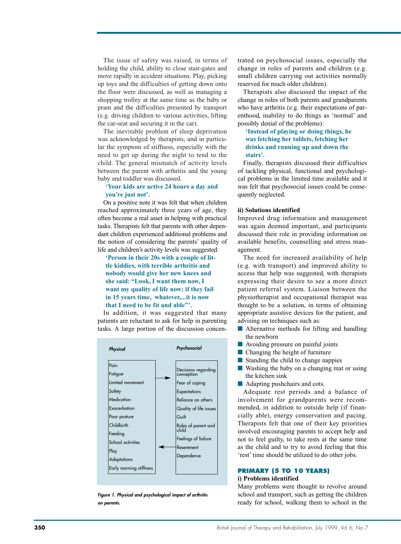The issue of safety was raised, in terms of holding the child, ability to close stair-gates and move rapidly in accident situations. Play, picking up toys and the difficulties of getting down onto the floor were discussed, as well as managing a shopping trolley at the same time as the baby or pram and the difficulties presented by transport (e.g. driving children to various activities, lifting the car-seat and securing it in the car).

The inevitable problem of sleep deprivation was acknowledged by therapists, and in particular the symptom of stiffness, especially with the need to get up during the night to tend to the child. The general mismatch of activity levels between the parent with arthritis and the young baby and toddler was discussed.

# **'Your kids are active 24 hours a day and you're just not'.**

On a positive note it was felt that when children reached approximately three years of age, they often become a real asset in helping with practical tasks. Therapists felt that parents with other dependant children experienced additional problems and the notion of considering the parents' quality of life and children's activity levels was suggested:

# **'Person in their 20s with a couple of little kiddies, with terrible arthritis and nobody would give her new knees and she said: "Look, I want them now, I want my quality of life now; if they fail in 15 years time, whatever,...it is now that I need to be fit and able"'.**

In addition, it was suggested that many patients are reluctant to ask for help in parenting tasks. A large portion of the discussion concen-



*Figure 1. Physical and psychological impact of arthritis on parents.* 

trated on psychosocial issues, especially the change in roles of parents and children (e.g. small children carrying out activities normally reserved for much older children).

Therapists also discussed the impact of the change in roles of both parents and grandparents who have arthritis (e.g. their expectations of parenthood, inability to do things as 'normal' and possibly denial of the problems):

# **'Instead of playing or doing things, he was fetching her tablets, fetching her drinks and running up and down the stairs'.**

Finally, therapists discussed their difficulties of tackling physical, functional and psychological problems in the limited time available and it was felt that psychosocial issues could be consequently neglected.

# **ii) Solutions identified**

Improved drug information and management was again deemed important, and participants discussed their role in providing information on available benefits, counselling and stress management.

The need for increased availability of help (e.g. with transport) and improved ability to access that help was suggested, with therapists expressing their desire to see a more direct patient referral system. Liaison between the physiotherapist and occupational therapist was thought to be a solution, in terms of obtaining appropriate assistive devices for the patient, and advising on techniques such as:

- Alternative methods for lifting and handling the newborn
- Avoiding pressure on painful joints
- Changing the height of furniture
- Standing the child to change nappies
- Washing the baby on a changing mat or using the kitchen sink
- Adapting pushchairs and cots.

Adequate rest periods and a balance of involvement for grandparents were recommended, in addition to outside help (if financially able), energy conservation and pacing. Therapists felt that one of their key priorities involved encouraging parents to accept help and not to feel guilty, to take rests at the same time as the child and to try to avoid feeling that this 'rest' time should be utilized to do other jobs.

# **PRIMARY (5 TO 10 YEARS)**

# **i) Problems identified**

Many problems were thought to revolve around school and transport, such as getting the children ready for school, walking them to school in the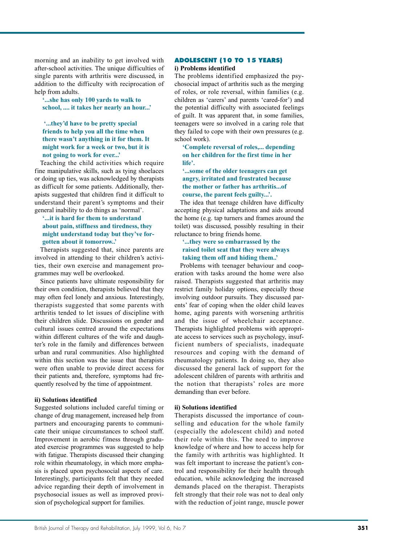morning and an inability to get involved with after-school activities. The unique difficulties of single parents with arthritis were discussed, in addition to the difficulty with reciprocation of help from adults.

**'...she has only 100 yards to walk to school, .... it takes her nearly an hour...'**

# **'...they'd have to be pretty special friends to help you all the time when there wasn't anything in it for them. It might work for a week or two, but it is not going to work for ever...'**

Teaching the child activities which require fine manipulative skills, such as tying shoelaces or doing up ties, was acknowledged by therapists as difficult for some patients. Additionally, therapists suggested that children find it difficult to understand their parent's symptoms and their general inability to do things as 'normal'.

# **'...it is hard for them to understand about pain, stiffness and tiredness, they might understand today but they've forgotten about it tomorrow..'**

Therapists suggested that, since parents are involved in attending to their children's activities, their own exercise and management programmes may well be overlooked.

Since patients have ultimate responsibility for their own condition, therapists believed that they may often feel lonely and anxious. Interestingly, therapists suggested that some parents with arthritis tended to let issues of discipline with their children slide. Discussions on gender and cultural issues centred around the expectations within different cultures of the wife and daughter's role in the family and differences between urban and rural communities. Also highlighted within this section was the issue that therapists were often unable to provide direct access for their patients and, therefore, symptoms had frequently resolved by the time of appointment.

## **ii) Solutions identified**

Suggested solutions included careful timing or change of drug management, increased help from partners and encouraging parents to communicate their unique circumstances to school staff. Improvement in aerobic fitness through graduated exercise programmes was suggested to help with fatigue. Therapists discussed their changing role within rheumatology, in which more emphasis is placed upon psychosocial aspects of care. Interestingly, participants felt that they needed advice regarding their depth of involvement in psychosocial issues as well as improved provision of psychological support for families.

# **ADOLESCENT (10 TO 15 YEARS)**

# **i) Problems identified**

The problems identified emphasized the psychosocial impact of arthritis such as the merging of roles, or role reversal, within families (e.g. children as 'carers' and parents 'cared-for') and the potential difficulty with associated feelings of guilt. It was apparent that, in some families, teenagers were so involved in a caring role that they failed to cope with their own pressures (e.g. school work).

**'Complete reversal of roles,... depending on her children for the first time in her life'.**

# **'...some of the older teenagers can get angry, irritated and frustrated because the mother or father has arthritis...of course, the parent feels guilty...'.**

The idea that teenage children have difficulty accepting physical adaptations and aids around the home (e.g. tap turners and frames around the toilet) was discussed, possibly resulting in their reluctance to bring friends home.

# **'...they were so embarrassed by the raised toilet seat that they were always taking them off and hiding them..'**

Problems with teenager behaviour and cooperation with tasks around the home were also raised. Therapists suggested that arthritis may restrict family holiday options, especially those involving outdoor pursuits. They discussed parents' fear of coping when the older child leaves home, aging parents with worsening arthritis and the issue of wheelchair acceptance. Therapists highlighted problems with appropriate access to services such as psychology, insufficient numbers of specialists, inadequate resources and coping with the demand of rheumatology patients. In doing so, they also discussed the general lack of support for the adolescent children of parents with arthritis and the notion that therapists' roles are more demanding than ever before.

## **ii) Solutions identified**

Therapists discussed the importance of counselling and education for the whole family (especially the adolescent child) and noted their role within this. The need to improve knowledge of where and how to access help for the family with arthritis was highlighted. It was felt important to increase the patient's control and responsibility for their health through education, while acknowledging the increased demands placed on the therapist. Therapists felt strongly that their role was not to deal only with the reduction of joint range, muscle power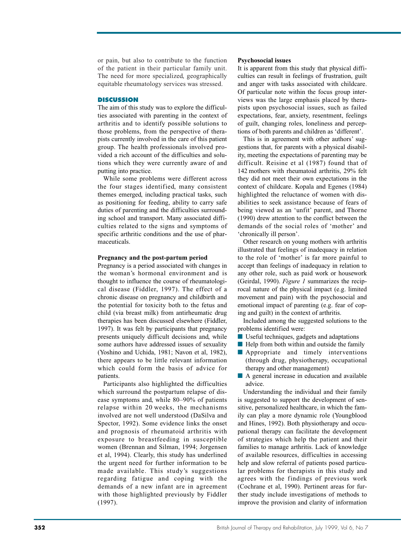or pain, but also to contribute to the function of the patient in their particular family unit. The need for more specialized, geographically equitable rheumatology services was stressed.

# **DISCUSSION**

The aim of this study was to explore the difficulties associated with parenting in the context of arthritis and to identify possible solutions to those problems, from the perspective of therapists currently involved in the care of this patient group. The health professionals involved provided a rich account of the difficulties and solutions which they were currently aware of and putting into practice.

While some problems were different across the four stages identified, many consistent themes emerged, including practical tasks, such as positioning for feeding, ability to carry safe duties of parenting and the difficulties surrounding school and transport. Many associated difficulties related to the signs and symptoms of specific arthritic conditions and the use of pharmaceuticals.

#### **Pregnancy and the post-partum period**

Pregnancy is a period associated with changes in the woman's hormonal environment and is thought to influence the course of rheumatological disease (Fiddler, 1997). The effect of a chronic disease on pregnancy and childbirth and the potential for toxicity both to the fetus and child (via breast milk) from antirheumatic drug therapies has been discussed elsewhere (Fiddler, 1997). It was felt by participants that pregnancy presents uniquely difficult decisions and, while some authors have addressed issues of sexuality (Yoshino and Uchida, 1981; Navon et al, 1982), there appears to be little relevant information which could form the basis of advice for patients.

Participants also highlighted the difficulties which surround the postpartum relapse of disease symptoms and, while 80–90% of patients relapse within 20 weeks, the mechanisms involved are not well understood (DaSilva and Spector, 1992). Some evidence links the onset and prognosis of rheumatoid arthritis with exposure to breastfeeding in susceptible women (Brennan and Silman, 1994; Jorgensen et al, 1994). Clearly, this study has underlined the urgent need for further information to be made available. This study's suggestions regarding fatigue and coping with the demands of a new infant are in agreement with those highlighted previously by Fiddler (1997).

#### **Psychosocial issues**

It is apparent from this study that physical difficulties can result in feelings of frustration, guilt and anger with tasks associated with childcare. Of particular note within the focus group interviews was the large emphasis placed by therapists upon psychosocial issues, such as failed expectations, fear, anxiety, resentment, feelings of guilt, changing roles, loneliness and perceptions of both parents and children as 'different'.

This is in agreement with other authors' suggestions that, for parents with a physical disability, meeting the expectations of parenting may be difficult. Reisine et al (1987) found that of 142 mothers with rheumatoid arthritis, 29% felt they did not meet their own expectations in the context of childcare. Kopala and Egenes (1984) highlighted the reluctance of women with disabilities to seek assistance because of fears of being viewed as an 'unfit' parent, and Thorne (1990) drew attention to the conflict between the demands of the social roles of 'mother' and 'chronically ill person'.

Other research on young mothers with arthritis illustrated that feelings of inadequacy in relation to the role of 'mother' is far more painful to accept than feelings of inadequacy in relation to any other role, such as paid work or housework (Geirdal, 1990). *Figure 1* summarizes the reciprocal nature of the physical impact (e.g. limited movement and pain) with the psychosocial and emotional impact of parenting (e.g. fear of coping and guilt) in the context of arthritis.

Included among the suggested solutions to the problems identified were:

- Useful techniques, gadgets and adaptations
- Help from both within and outside the family
- Appropriate and timely interventions (through drug, physiotherapy, occupational therapy and other management)
- A general increase in education and available advice.

Understanding the individual and their family is suggested to support the development of sensitive, personalized healthcare, in which the family can play a more dynamic role (Youngblood and Hines, 1992). Both physiotherapy and occupational therapy can facilitate the development of strategies which help the patient and their families to manage arthritis. Lack of knowledge of available resources, difficulties in accessing help and slow referral of patients posed particular problems for therapists in this study and agrees with the findings of previous work (Cochrane et al, 1990). Pertinent areas for further study include investigations of methods to improve the provision and clarity of information